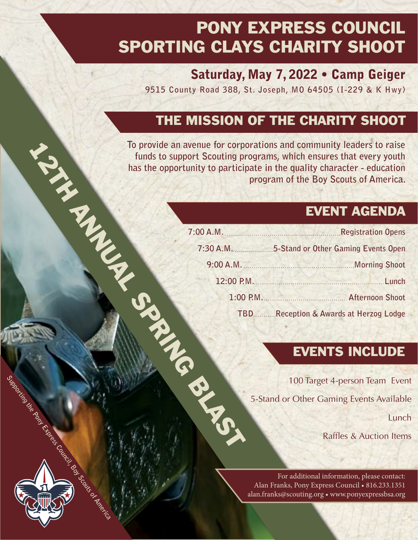## PONY EXPRESS COUNCIL SPORTING CLAYS CHARITY SHOOT

#### Saturday, May 7, 2022 • Camp Geiger

**9515 County Road 388, St. Joseph, MO 64505 (I-229 & K Hwy)**

### THE MISSION OF THE CHARITY SHOOT

### EVENT AGENDA

|                               | To provide an avenue for corporations and community leaders to raise<br>funds to support Scouting programs, which ensures that every youth<br>has the opportunity to participate in the quality character - education<br>program of the Boy Scouts of America. |
|-------------------------------|----------------------------------------------------------------------------------------------------------------------------------------------------------------------------------------------------------------------------------------------------------------|
|                               | <b>EVENT AGENDA</b>                                                                                                                                                                                                                                            |
|                               |                                                                                                                                                                                                                                                                |
|                               | 7:30 A.M. 5-Stand or Other Gaming Events Open                                                                                                                                                                                                                  |
|                               |                                                                                                                                                                                                                                                                |
|                               |                                                                                                                                                                                                                                                                |
|                               | 1:00 P.M. Afternoon Shoot                                                                                                                                                                                                                                      |
|                               | TBDReception & Awards at Herzog Lodge                                                                                                                                                                                                                          |
|                               | <b>EVENTS INCLUDE</b>                                                                                                                                                                                                                                          |
|                               | 100 Target 4-person Team Ever                                                                                                                                                                                                                                  |
|                               | 5-Stand or Other Gaming Events Availabl                                                                                                                                                                                                                        |
|                               | Lunc                                                                                                                                                                                                                                                           |
| <b>Contract Manufacturers</b> | <b>Raffles &amp; Auction Item</b>                                                                                                                                                                                                                              |

#### EVENTS INCLUDE

Lunch

Raffles & Auction Items

For additional information, please contact: Alan Franks, Pony Express Council • 816.233.1351 alan.franks@scouting.org • www.ponyexpressbsa.org